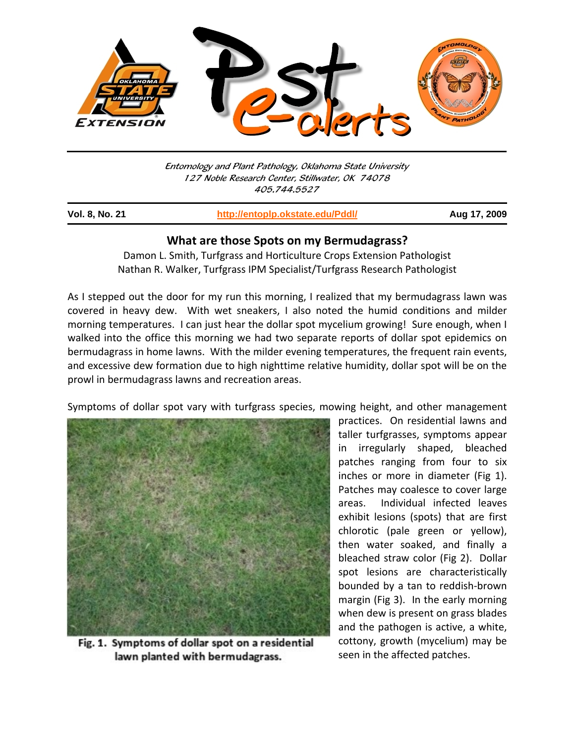

Entomology and Plant Pathology, Oklahoma State University 127 Noble Research Center, Stillwater, OK 74078 405.744.5527

j

**Vol. 8, No. 21 http://entoplp.okstate.edu/Pddl/ Aug 17, 2009**

## **What are those Spots on my Bermudagrass?**

Damon L. Smith, Turfgrass and Horticulture Crops Extension Pathologist Nathan R. Walker, Turfgrass IPM Specialist/Turfgrass Research Pathologist

As I stepped out the door for my run this morning, I realized that my bermudagrass lawn was covered in heavy dew. With wet sneakers, I also noted the humid conditions and milder morning temperatures. I can just hear the dollar spot mycelium growing! Sure enough, when I walked into the office this morning we had two separate reports of dollar spot epidemics on bermudagrass in home lawns. With the milder evening temperatures, the frequent rain events, and excessive dew formation due to high nighttime relative humidity, dollar spot will be on the prowl in bermudagrass lawns and recreation areas.

Symptoms of dollar spot vary with turfgrass species, mowing height, and other management



Fig. 1. Symptoms of dollar spot on a residential lawn planted with bermudagrass.

practices. On residential lawns and taller turfgrasses, symptoms appear in irregularly shaped, bleached patches ranging from four to six inches or more in diameter (Fig 1). Patches may coalesce to cover large areas. Individual infected leaves exhibit lesions (spots) that are first chlorotic (pale green or yellow), then water soaked, and finally a bleached straw color (Fig 2). Dollar spot lesions are characteristically bounded by a tan to reddish‐brown margin (Fig 3). In the early morning when dew is present on grass blades and the pathogen is active, a white, cottony, growth (mycelium) may be seen in the affected patches.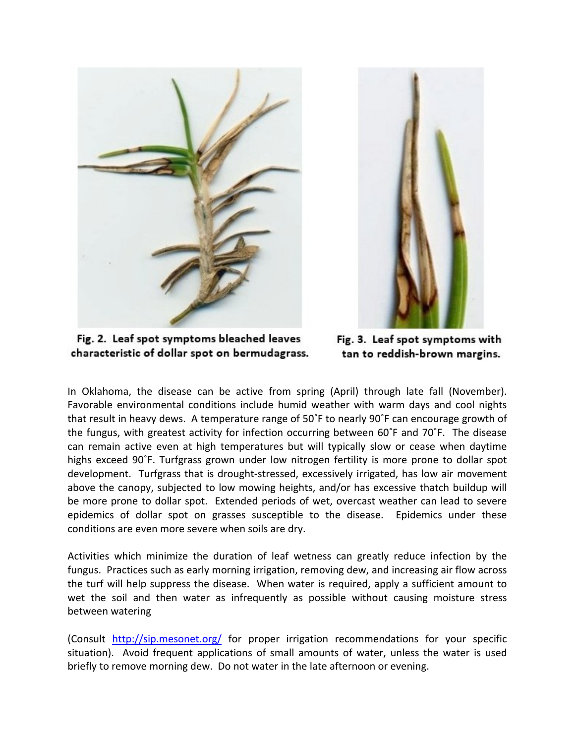



Fig. 2. Leaf spot symptoms bleached leaves characteristic of dollar spot on bermudagrass.

Fig. 3. Leaf spot symptoms with tan to reddish-brown margins.

In Oklahoma, the disease can be active from spring (April) through late fall (November). Favorable environmental conditions include humid weather with warm days and cool nights that result in heavy dews. A temperature range of 50˚F to nearly 90˚F can encourage growth of the fungus, with greatest activity for infection occurring between 60˚F and 70˚F. The disease can remain active even at high temperatures but will typically slow or cease when daytime highs exceed 90˚F. Turfgrass grown under low nitrogen fertility is more prone to dollar spot development. Turfgrass that is drought‐stressed, excessively irrigated, has low air movement above the canopy, subjected to low mowing heights, and/or has excessive thatch buildup will be more prone to dollar spot. Extended periods of wet, overcast weather can lead to severe epidemics of dollar spot on grasses susceptible to the disease. Epidemics under these conditions are even more severe when soils are dry.

Activities which minimize the duration of leaf wetness can greatly reduce infection by the fungus. Practices such as early morning irrigation, removing dew, and increasing air flow across the turf will help suppress the disease. When water is required, apply a sufficient amount to wet the soil and then water as infrequently as possible without causing moisture stress between watering

(Consult http://sip.mesonet.org/ for proper irrigation recommendations for your specific situation). Avoid frequent applications of small amounts of water, unless the water is used briefly to remove morning dew. Do not water in the late afternoon or evening.